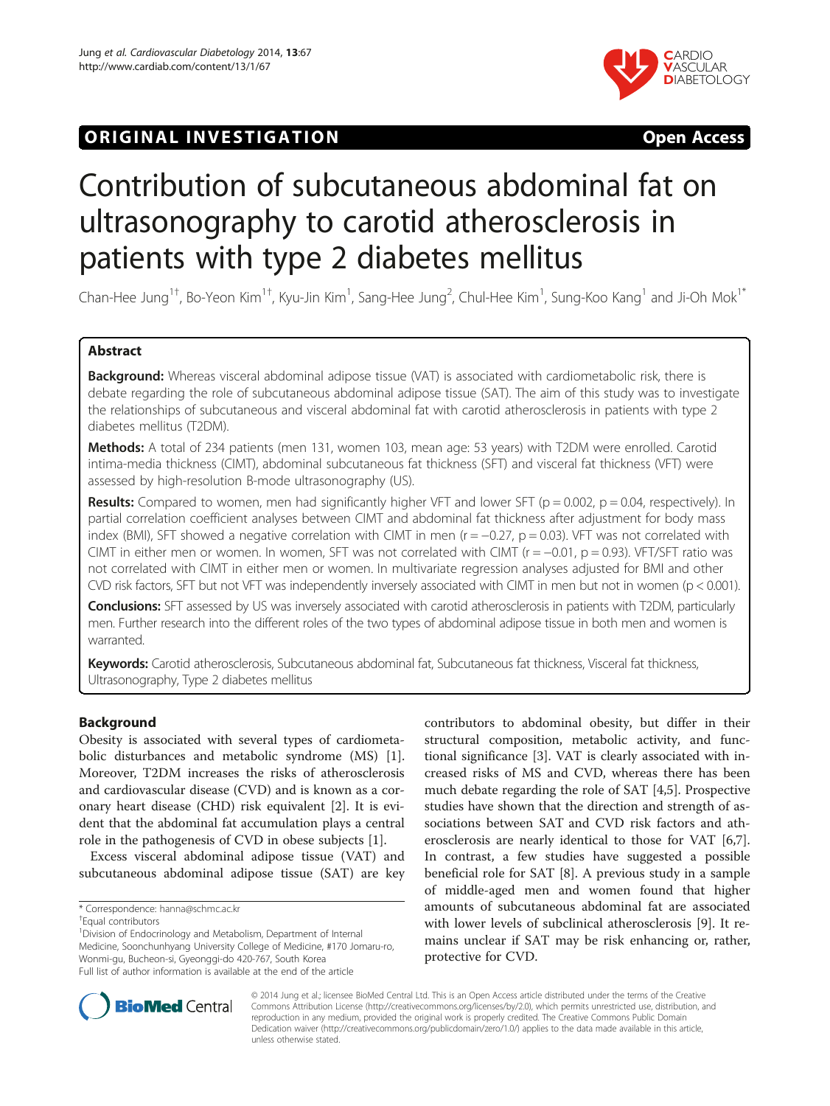## **ORIGINAL INVESTIGATION CONSIDERING OPEN ACCESS**



# Contribution of subcutaneous abdominal fat on ultrasonography to carotid atherosclerosis in patients with type 2 diabetes mellitus

Chan-Hee Jung<sup>1†</sup>, Bo-Yeon Kim<sup>1†</sup>, Kyu-Jin Kim<sup>1</sup>, Sang-Hee Jung<sup>2</sup>, Chul-Hee Kim<sup>1</sup>, Sung-Koo Kang<sup>1</sup> and Ji-Oh Mok<sup>1\*</sup>

## Abstract

Background: Whereas visceral abdominal adipose tissue (VAT) is associated with cardiometabolic risk, there is debate regarding the role of subcutaneous abdominal adipose tissue (SAT). The aim of this study was to investigate the relationships of subcutaneous and visceral abdominal fat with carotid atherosclerosis in patients with type 2 diabetes mellitus (T2DM).

Methods: A total of 234 patients (men 131, women 103, mean age: 53 years) with T2DM were enrolled. Carotid intima-media thickness (CIMT), abdominal subcutaneous fat thickness (SFT) and visceral fat thickness (VFT) were assessed by high-resolution B-mode ultrasonography (US).

Results: Compared to women, men had significantly higher VFT and lower SFT ( $p = 0.002$ ,  $p = 0.04$ , respectively). In partial correlation coefficient analyses between CIMT and abdominal fat thickness after adjustment for body mass index (BMI), SFT showed a negative correlation with CIMT in men ( $r = -0.27$ ,  $p = 0.03$ ). VFT was not correlated with CIMT in either men or women. In women, SFT was not correlated with CIMT ( $r = -0.01$ ,  $p = 0.93$ ). VFT/SFT ratio was not correlated with CIMT in either men or women. In multivariate regression analyses adjusted for BMI and other CVD risk factors, SFT but not VFT was independently inversely associated with CIMT in men but not in women (p < 0.001).

Conclusions: SFT assessed by US was inversely associated with carotid atherosclerosis in patients with T2DM, particularly men. Further research into the different roles of the two types of abdominal adipose tissue in both men and women is warranted.

Keywords: Carotid atherosclerosis, Subcutaneous abdominal fat, Subcutaneous fat thickness, Visceral fat thickness, Ultrasonography, Type 2 diabetes mellitus

## Background

Obesity is associated with several types of cardiometabolic disturbances and metabolic syndrome (MS) [\[1](#page-6-0)]. Moreover, T2DM increases the risks of atherosclerosis and cardiovascular disease (CVD) and is known as a coronary heart disease (CHD) risk equivalent [[2\]](#page-6-0). It is evident that the abdominal fat accumulation plays a central role in the pathogenesis of CVD in obese subjects [\[1](#page-6-0)].

Excess visceral abdominal adipose tissue (VAT) and subcutaneous abdominal adipose tissue (SAT) are key

<sup>1</sup> Division of Endocrinology and Metabolism, Department of Internal Medicine, Soonchunhyang University College of Medicine, #170 Jomaru-ro, Wonmi-gu, Bucheon-si, Gyeonggi-do 420-767, South Korea Full list of author information is available at the end of the article

contributors to abdominal obesity, but differ in their structural composition, metabolic activity, and functional significance [\[3](#page-6-0)]. VAT is clearly associated with increased risks of MS and CVD, whereas there has been much debate regarding the role of SAT [[4](#page-6-0),[5\]](#page-6-0). Prospective studies have shown that the direction and strength of associations between SAT and CVD risk factors and atherosclerosis are nearly identical to those for VAT [\[6,7](#page-6-0)]. In contrast, a few studies have suggested a possible beneficial role for SAT [[8\]](#page-6-0). A previous study in a sample of middle-aged men and women found that higher amounts of subcutaneous abdominal fat are associated with lower levels of subclinical atherosclerosis [\[9](#page-6-0)]. It remains unclear if SAT may be risk enhancing or, rather, protective for CVD.



© 2014 Jung et al.; licensee BioMed Central Ltd. This is an Open Access article distributed under the terms of the Creative Commons Attribution License [\(http://creativecommons.org/licenses/by/2.0\)](http://creativecommons.org/licenses/by/2.0), which permits unrestricted use, distribution, and reproduction in any medium, provided the original work is properly credited. The Creative Commons Public Domain Dedication waiver [\(http://creativecommons.org/publicdomain/zero/1.0/](http://creativecommons.org/publicdomain/zero/1.0/)) applies to the data made available in this article, unless otherwise stated.

<sup>\*</sup> Correspondence: [hanna@schmc.ac.kr](mailto:hanna@schmc.ac.kr) †

Equal contributors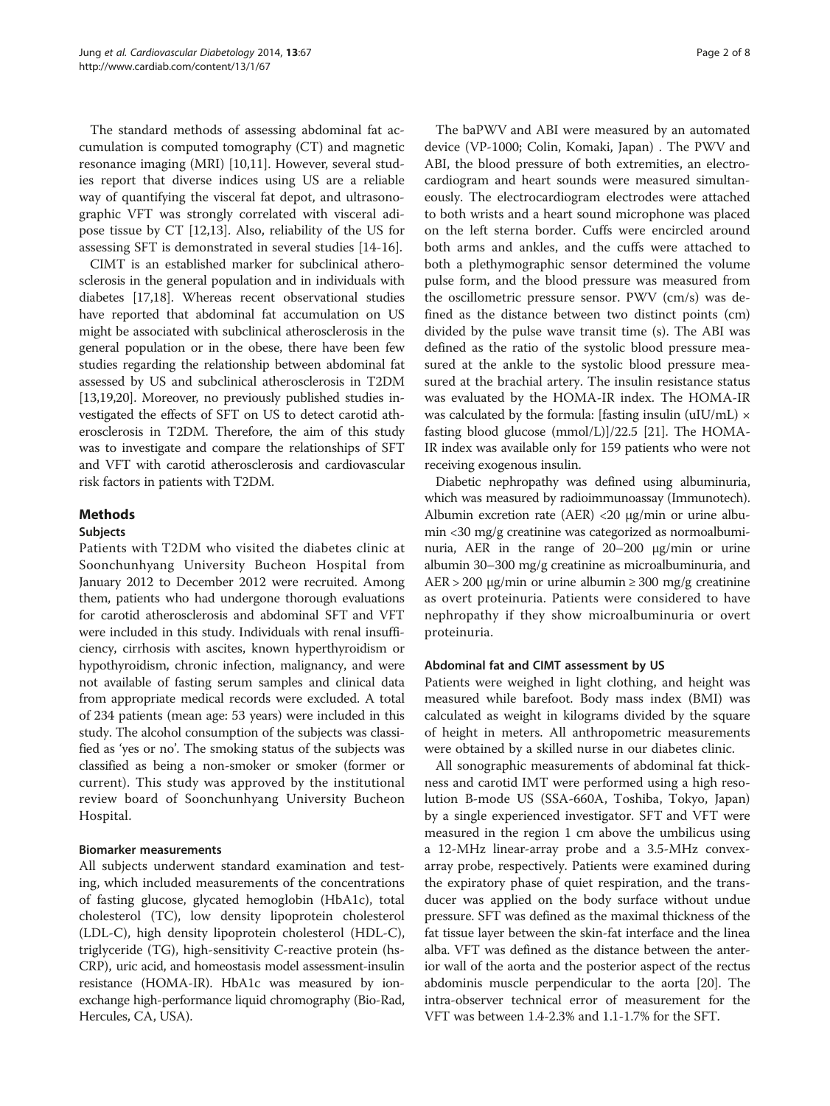The standard methods of assessing abdominal fat accumulation is computed tomography (CT) and magnetic resonance imaging (MRI) [\[10](#page-6-0)[,11](#page-7-0)]. However, several studies report that diverse indices using US are a reliable way of quantifying the visceral fat depot, and ultrasonographic VFT was strongly correlated with visceral adipose tissue by CT [[12](#page-7-0),[13](#page-7-0)]. Also, reliability of the US for assessing SFT is demonstrated in several studies [\[14](#page-7-0)-[16\]](#page-7-0).

CIMT is an established marker for subclinical atherosclerosis in the general population and in individuals with diabetes [\[17,18\]](#page-7-0). Whereas recent observational studies have reported that abdominal fat accumulation on US might be associated with subclinical atherosclerosis in the general population or in the obese, there have been few studies regarding the relationship between abdominal fat assessed by US and subclinical atherosclerosis in T2DM [[13,19,20\]](#page-7-0). Moreover, no previously published studies investigated the effects of SFT on US to detect carotid atherosclerosis in T2DM. Therefore, the aim of this study was to investigate and compare the relationships of SFT and VFT with carotid atherosclerosis and cardiovascular risk factors in patients with T2DM.

## Methods

## Subjects

Patients with T2DM who visited the diabetes clinic at Soonchunhyang University Bucheon Hospital from January 2012 to December 2012 were recruited. Among them, patients who had undergone thorough evaluations for carotid atherosclerosis and abdominal SFT and VFT were included in this study. Individuals with renal insufficiency, cirrhosis with ascites, known hyperthyroidism or hypothyroidism, chronic infection, malignancy, and were not available of fasting serum samples and clinical data from appropriate medical records were excluded. A total of 234 patients (mean age: 53 years) were included in this study. The alcohol consumption of the subjects was classified as 'yes or no'. The smoking status of the subjects was classified as being a non-smoker or smoker (former or current). This study was approved by the institutional review board of Soonchunhyang University Bucheon Hospital.

## Biomarker measurements

All subjects underwent standard examination and testing, which included measurements of the concentrations of fasting glucose, glycated hemoglobin (HbA1c), total cholesterol (TC), low density lipoprotein cholesterol (LDL-C), high density lipoprotein cholesterol (HDL-C), triglyceride (TG), high-sensitivity C-reactive protein (hs-CRP), uric acid, and homeostasis model assessment-insulin resistance (HOMA-IR). HbA1c was measured by ionexchange high-performance liquid chromography (Bio-Rad, Hercules, CA, USA).

The baPWV and ABI were measured by an automated device (VP-1000; Colin, Komaki, Japan) . The PWV and ABI, the blood pressure of both extremities, an electrocardiogram and heart sounds were measured simultaneously. The electrocardiogram electrodes were attached to both wrists and a heart sound microphone was placed on the left sterna border. Cuffs were encircled around both arms and ankles, and the cuffs were attached to both a plethymographic sensor determined the volume pulse form, and the blood pressure was measured from the oscillometric pressure sensor. PWV (cm/s) was defined as the distance between two distinct points (cm) divided by the pulse wave transit time (s). The ABI was defined as the ratio of the systolic blood pressure measured at the ankle to the systolic blood pressure measured at the brachial artery. The insulin resistance status was evaluated by the HOMA-IR index. The HOMA-IR was calculated by the formula: [fasting insulin (uIU/mL)  $\times$ fasting blood glucose (mmol/L)]/22.5 [[21\]](#page-7-0). The HOMA-IR index was available only for 159 patients who were not receiving exogenous insulin.

Diabetic nephropathy was defined using albuminuria, which was measured by radioimmunoassay (Immunotech). Albumin excretion rate (AER) <20 μg/min or urine albumin <30 mg/g creatinine was categorized as normoalbuminuria, AER in the range of 20–200 μg/min or urine albumin 30–300 mg/g creatinine as microalbuminuria, and  $AER > 200 \mu g/min$  or urine albumin  $\geq 300 \mu g/g$  creatinine as overt proteinuria. Patients were considered to have nephropathy if they show microalbuminuria or overt proteinuria.

#### Abdominal fat and CIMT assessment by US

Patients were weighed in light clothing, and height was measured while barefoot. Body mass index (BMI) was calculated as weight in kilograms divided by the square of height in meters. All anthropometric measurements were obtained by a skilled nurse in our diabetes clinic.

All sonographic measurements of abdominal fat thickness and carotid IMT were performed using a high resolution B-mode US (SSA-660A, Toshiba, Tokyo, Japan) by a single experienced investigator. SFT and VFT were measured in the region 1 cm above the umbilicus using a 12-MHz linear-array probe and a 3.5-MHz convexarray probe, respectively. Patients were examined during the expiratory phase of quiet respiration, and the transducer was applied on the body surface without undue pressure. SFT was defined as the maximal thickness of the fat tissue layer between the skin-fat interface and the linea alba. VFT was defined as the distance between the anterior wall of the aorta and the posterior aspect of the rectus abdominis muscle perpendicular to the aorta [\[20\]](#page-7-0). The intra-observer technical error of measurement for the VFT was between 1.4-2.3% and 1.1-1.7% for the SFT.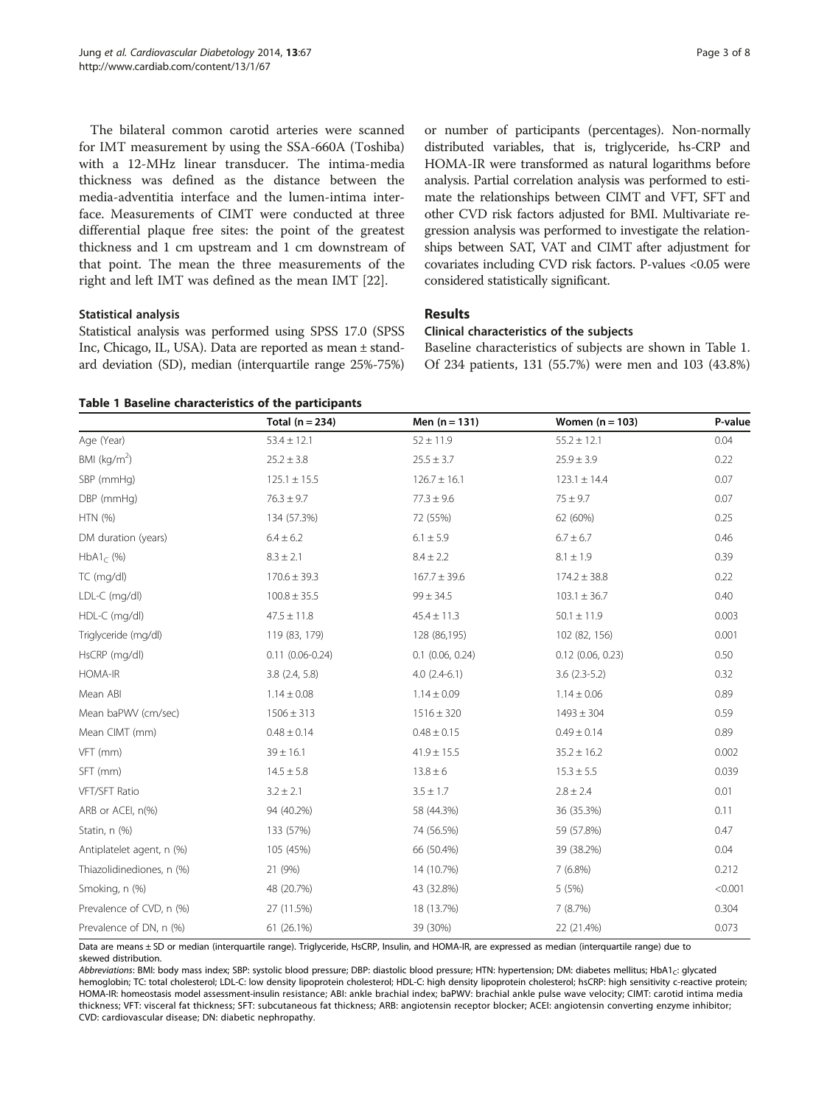The bilateral common carotid arteries were scanned for IMT measurement by using the SSA-660A (Toshiba) with a 12-MHz linear transducer. The intima-media thickness was defined as the distance between the media-adventitia interface and the lumen-intima interface. Measurements of CIMT were conducted at three differential plaque free sites: the point of the greatest thickness and 1 cm upstream and 1 cm downstream of that point. The mean the three measurements of the right and left IMT was defined as the mean IMT [\[22](#page-7-0)].

## Statistical analysis

Statistical analysis was performed using SPSS 17.0 (SPSS Inc, Chicago, IL, USA). Data are reported as mean ± standard deviation (SD), median (interquartile range 25%-75%) or number of participants (percentages). Non-normally distributed variables, that is, triglyceride, hs-CRP and HOMA-IR were transformed as natural logarithms before analysis. Partial correlation analysis was performed to estimate the relationships between CIMT and VFT, SFT and other CVD risk factors adjusted for BMI. Multivariate regression analysis was performed to investigate the relationships between SAT, VAT and CIMT after adjustment for covariates including CVD risk factors. P-values <0.05 were considered statistically significant.

## Results

#### Clinical characteristics of the subjects

Baseline characteristics of subjects are shown in Table 1. Of 234 patients, 131 (55.7%) were men and 103 (43.8%)

|  | Table 1 Baseline characteristics of the participants |  |  |  |
|--|------------------------------------------------------|--|--|--|
|--|------------------------------------------------------|--|--|--|

|                           | Total $(n = 234)$   | Men $(n = 131)$    | Women $(n = 103)$   | P-value |
|---------------------------|---------------------|--------------------|---------------------|---------|
| Age (Year)                | $53.4 \pm 12.1$     | $52 \pm 11.9$      | $55.2 \pm 12.1$     | 0.04    |
| BMI (kg/m <sup>2</sup> )  | $25.2 \pm 3.8$      | $25.5 \pm 3.7$     | $25.9 \pm 3.9$      | 0.22    |
| SBP (mmHg)                | $125.1 \pm 15.5$    | $126.7 \pm 16.1$   | $123.1 \pm 14.4$    | 0.07    |
| DBP (mmHg)                | $76.3 \pm 9.7$      | $77.3 \pm 9.6$     | $75 \pm 9.7$        | 0.07    |
| HTN(%)                    | 134 (57.3%)         | 72 (55%)           | 62 (60%)            | 0.25    |
| DM duration (years)       | $6.4 \pm 6.2$       | $6.1 \pm 5.9$      | $6.7 \pm 6.7$       | 0.46    |
| $HbA1_C$ (%)              | $8.3 \pm 2.1$       | $8.4 \pm 2.2$      | $8.1 \pm 1.9$       | 0.39    |
| TC (mg/dl)                | $170.6 \pm 39.3$    | $167.7 \pm 39.6$   | $174.2 \pm 38.8$    | 0.22    |
| LDL-C (mg/dl)             | $100.8 \pm 35.5$    | $99 \pm 34.5$      | $103.1 \pm 36.7$    | 0.40    |
| HDL-C (mg/dl)             | $47.5 \pm 11.8$     | $45.4 \pm 11.3$    | $50.1 \pm 11.9$     | 0.003   |
| Triglyceride (mg/dl)      | 119 (83, 179)       | 128 (86,195)       | 102 (82, 156)       | 0.001   |
| HsCRP (mg/dl)             | $0.11(0.06 - 0.24)$ | $0.1$ (0.06, 0.24) | $0.12$ (0.06, 0.23) | 0.50    |
| HOMA-IR                   | $3.8$ $(2.4, 5.8)$  | $4.0(2.4-6.1)$     | $3.6(2.3-5.2)$      | 0.32    |
| Mean ABI                  | $1.14 \pm 0.08$     | $1.14 \pm 0.09$    | $1.14 \pm 0.06$     | 0.89    |
| Mean baPWV (cm/sec)       | $1506 \pm 313$      | $1516 \pm 320$     | $1493 \pm 304$      | 0.59    |
| Mean CIMT (mm)            | $0.48 \pm 0.14$     | $0.48 \pm 0.15$    | $0.49 \pm 0.14$     | 0.89    |
| VFT (mm)                  | $39 \pm 16.1$       | $41.9 \pm 15.5$    | $35.2 \pm 16.2$     |         |
| SFT (mm)                  | $14.5 \pm 5.8$      | $13.8 \pm 6$       | $15.3 \pm 5.5$      | 0.039   |
| VFT/SFT Ratio             | $3.2 \pm 2.1$       | $3.5 \pm 1.7$      | $2.8 \pm 2.4$       | 0.01    |
| ARB or ACEI, n(%)         | 94 (40.2%)          | 58 (44.3%)         | 36 (35.3%)          | 0.11    |
| Statin, n (%)             | 133 (57%)           | 74 (56.5%)         | 59 (57.8%)          | 0.47    |
| Antiplatelet agent, n (%) | 105 (45%)           | 66 (50.4%)         | 39 (38.2%)          | 0.04    |
| Thiazolidinediones, n (%) | 21 (9%)             | 14 (10.7%)         | 7(6.8%)             | 0.212   |
| Smoking, n (%)            | 48 (20.7%)          | 43 (32.8%)         | 5(5%)               | < 0.001 |
| Prevalence of CVD, n (%)  | 27 (11.5%)          | 18 (13.7%)         | 7(8.7%)             | 0.304   |
| Prevalence of DN, n (%)   | 61 (26.1%)          | 39 (30%)           | 22 (21.4%)          | 0.073   |

Data are means ± SD or median (interquartile range). Triglyceride, HsCRP, Insulin, and HOMA-IR, are expressed as median (interquartile range) due to skewed distribution.

Abbreviations: BMI: body mass index; SBP: systolic blood pressure; DBP: diastolic blood pressure; HTN: hypertension; DM: diabetes mellitus; HbA1<sub>c</sub>: glycated hemoglobin; TC: total cholesterol; LDL-C: low density lipoprotein cholesterol; HDL-C: high density lipoprotein cholesterol; hsCRP: high sensitivity c-reactive protein; HOMA-IR: homeostasis model assessment-insulin resistance; ABI: ankle brachial index; baPWV: brachial ankle pulse wave velocity; CIMT: carotid intima media thickness; VFT: visceral fat thickness; SFT: subcutaneous fat thickness; ARB: angiotensin receptor blocker; ACEI: angiotensin converting enzyme inhibitor; CVD: cardiovascular disease; DN: diabetic nephropathy.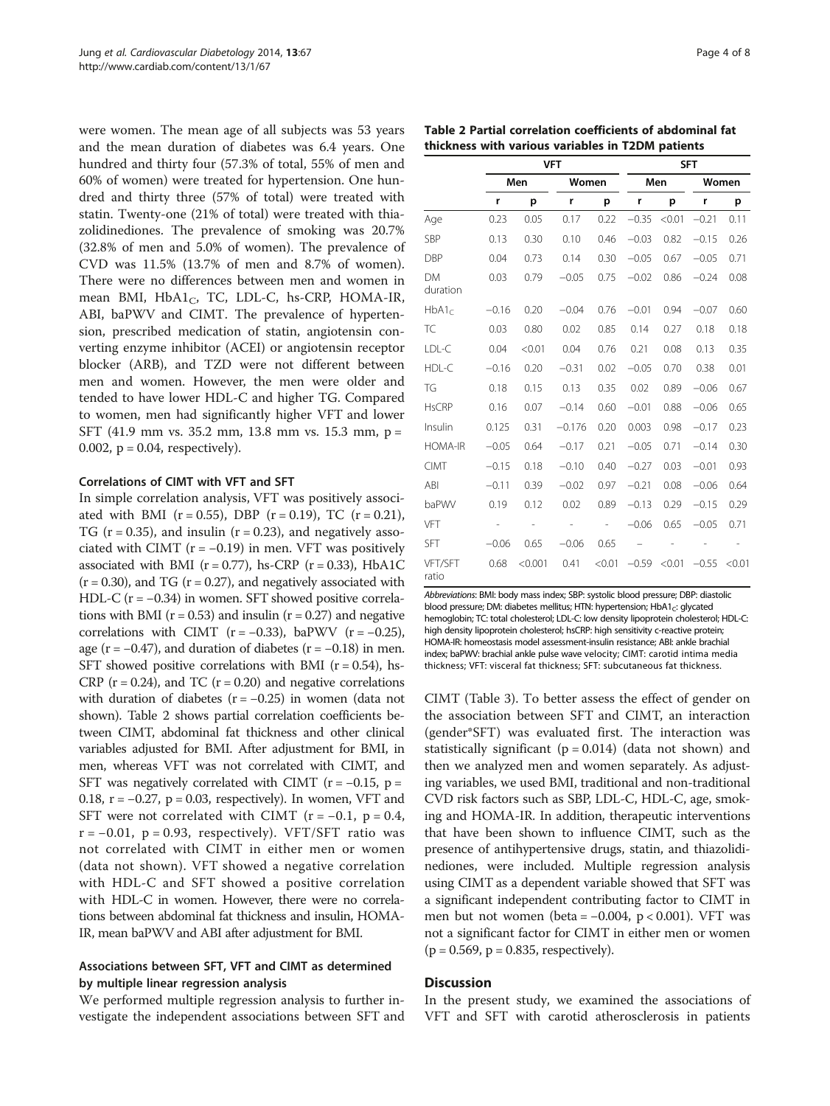were women. The mean age of all subjects was 53 years and the mean duration of diabetes was 6.4 years. One hundred and thirty four (57.3% of total, 55% of men and 60% of women) were treated for hypertension. One hundred and thirty three (57% of total) were treated with statin. Twenty-one (21% of total) were treated with thiazolidinediones. The prevalence of smoking was 20.7% (32.8% of men and 5.0% of women). The prevalence of CVD was 11.5% (13.7% of men and 8.7% of women). There were no differences between men and women in mean BMI,  $HbA1_C$ , TC, LDL-C, hs-CRP, HOMA-IR, ABI, baPWV and CIMT. The prevalence of hypertension, prescribed medication of statin, angiotensin converting enzyme inhibitor (ACEI) or angiotensin receptor blocker (ARB), and TZD were not different between men and women. However, the men were older and tended to have lower HDL-C and higher TG. Compared to women, men had significantly higher VFT and lower SFT (41.9 mm vs. 35.2 mm, 13.8 mm vs. 15.3 mm, p = 0.002,  $p = 0.04$ , respectively).

#### Correlations of CIMT with VFT and SFT

In simple correlation analysis, VFT was positively associated with BMI ( $r = 0.55$ ), DBP ( $r = 0.19$ ), TC ( $r = 0.21$ ), TG ( $r = 0.35$ ), and insulin ( $r = 0.23$ ), and negatively associated with CIMT ( $r = -0.19$ ) in men. VFT was positively associated with BMI ( $r = 0.77$ ), hs-CRP ( $r = 0.33$ ), HbA1C  $(r = 0.30)$ , and TG  $(r = 0.27)$ , and negatively associated with HDL-C ( $r = -0.34$ ) in women. SFT showed positive correlations with BMI ( $r = 0.53$ ) and insulin ( $r = 0.27$ ) and negative correlations with CIMT ( $r = -0.33$ ), baPWV ( $r = -0.25$ ), age ( $r = -0.47$ ), and duration of diabetes ( $r = -0.18$ ) in men. SFT showed positive correlations with BMI ( $r = 0.54$ ), hs-CRP ( $r = 0.24$ ), and TC ( $r = 0.20$ ) and negative correlations with duration of diabetes  $(r = -0.25)$  in women (data not shown). Table 2 shows partial correlation coefficients between CIMT, abdominal fat thickness and other clinical variables adjusted for BMI. After adjustment for BMI, in men, whereas VFT was not correlated with CIMT, and SFT was negatively correlated with CIMT ( $r = -0.15$ ,  $p =$ 0.18,  $r = -0.27$ ,  $p = 0.03$ , respectively). In women, VFT and SFT were not correlated with CIMT ( $r = -0.1$ ,  $p = 0.4$ ,  $r = -0.01$ ,  $p = 0.93$ , respectively). VFT/SFT ratio was not correlated with CIMT in either men or women (data not shown). VFT showed a negative correlation with HDL-C and SFT showed a positive correlation with HDL-C in women. However, there were no correlations between abdominal fat thickness and insulin, HOMA-IR, mean baPWV and ABI after adjustment for BMI.

## Associations between SFT, VFT and CIMT as determined by multiple linear regression analysis

We performed multiple regression analysis to further investigate the independent associations between SFT and

| Table 2 Partial correlation coefficients of abdominal fat |
|-----------------------------------------------------------|
| thickness with various variables in T2DM patients         |

|                       | <b>VFT</b> |         |                          |                   | <b>SFT</b> |        |         |               |  |
|-----------------------|------------|---------|--------------------------|-------------------|------------|--------|---------|---------------|--|
|                       | Men        |         |                          | Women             |            | Men    |         | Women         |  |
|                       | r          | p       | r                        | p                 | r          | p      | r       | p             |  |
| Age                   | 0.23       | 0.05    | 0.17                     | 0.22              | $-0.35$    | < 0.01 | $-0.21$ | 0.11          |  |
| <b>SBP</b>            | 0.13       | 0.30    | 0.10                     | 0.46              | $-0.03$    | 0.82   | $-0.15$ | 0.26          |  |
| DBP                   | 0.04       | 0.73    | 0.14                     | 0.30              | $-0.05$    | 0.67   | $-0.05$ | 0.71          |  |
| <b>DM</b><br>duration | 0.03       | 0.79    | $-0.05$                  | 0.75              | $-0.02$    | 0.86   | $-0.24$ | 0.08          |  |
| HbA1 <sub>c</sub>     | $-0.16$    | 0.20    | $-0.04$                  | 0.76              | $-0.01$    | 0.94   | $-0.07$ | 0.60          |  |
| TC                    | 0.03       | 0.80    | 0.02                     | 0.85              | 0.14       | 0.27   | 0.18    | 0.18          |  |
| LDL-C                 | 0.04       | < 0.01  | 0.04                     | 0.76              | 0.21       | 0.08   | 0.13    | 0.35          |  |
| HDL-C                 | $-0.16$    | 0.20    | $-0.31$                  | 0.02              | $-0.05$    | 0.70   | 0.38    | 0.01          |  |
| TG                    | 0.18       | 0.15    | 0.13                     | 0.35              | 0.02       | 0.89   | $-0.06$ | 0.67          |  |
| <b>HsCRP</b>          | 0.16       | 0.07    | $-0.14$                  | 0.60              | $-0.01$    | 0.88   | $-0.06$ | 0.65          |  |
| Insulin               | 0.125      | 0.31    | $-0.176$                 | 0.20              | 0.003      | 0.98   | $-0.17$ | 0.23          |  |
| <b>HOMA-IR</b>        | $-0.05$    | 0.64    | $-0.17$                  | 0.21              | $-0.05$    | 0.71   | $-0.14$ | 0.30          |  |
| <b>CIMT</b>           | $-0.15$    | 0.18    | $-0.10$                  | 0.40              | $-0.27$    | 0.03   | $-0.01$ | 0.93          |  |
| ABI                   | $-0.11$    | 0.39    | $-0.02$                  | 0.97              | $-0.21$    | 0.08   | $-0.06$ | 0.64          |  |
| baPWV                 | 0.19       | 0.12    | 0.02                     | 0.89              | $-0.13$    | 0.29   | $-0.15$ | 0.29          |  |
| VFT                   |            |         | $\overline{\phantom{0}}$ | $\qquad \qquad -$ | $-0.06$    | 0.65   | $-0.05$ | 0.71          |  |
| <b>SFT</b>            | $-0.06$    | 0.65    | $-0.06$                  | 0.65              | -          |        |         | $\frac{1}{2}$ |  |
| VFT/SFT<br>ratio      | 0.68       | < 0.001 | 0.41                     | < 0.01            | $-0.59$    | < 0.01 | $-0.55$ | < 0.01        |  |

Abbreviations: BMI: body mass index; SBP: systolic blood pressure; DBP: diastolic blood pressure; DM: diabetes mellitus; HTN: hypertension; HbA1<sub>C</sub>: glycated hemoglobin; TC: total cholesterol; LDL-C: low density lipoprotein cholesterol; HDL-C: high density lipoprotein cholesterol; hsCRP: high sensitivity c-reactive protein; HOMA-IR: homeostasis model assessment-insulin resistance; ABI: ankle brachial index; baPWV: brachial ankle pulse wave velocity; CIMT: carotid intima media thickness; VFT: visceral fat thickness; SFT: subcutaneous fat thickness.

CIMT (Table [3\)](#page-4-0). To better assess the effect of gender on the association between SFT and CIMT, an interaction (gender\*SFT) was evaluated first. The interaction was statistically significant ( $p = 0.014$ ) (data not shown) and then we analyzed men and women separately. As adjusting variables, we used BMI, traditional and non-traditional CVD risk factors such as SBP, LDL-C, HDL-C, age, smoking and HOMA-IR. In addition, therapeutic interventions that have been shown to influence CIMT, such as the presence of antihypertensive drugs, statin, and thiazolidinediones, were included. Multiple regression analysis using CIMT as a dependent variable showed that SFT was a significant independent contributing factor to CIMT in men but not women (beta =  $-0.004$ , p < 0.001). VFT was not a significant factor for CIMT in either men or women  $(p = 0.569, p = 0.835, respectively).$ 

## **Discussion**

In the present study, we examined the associations of VFT and SFT with carotid atherosclerosis in patients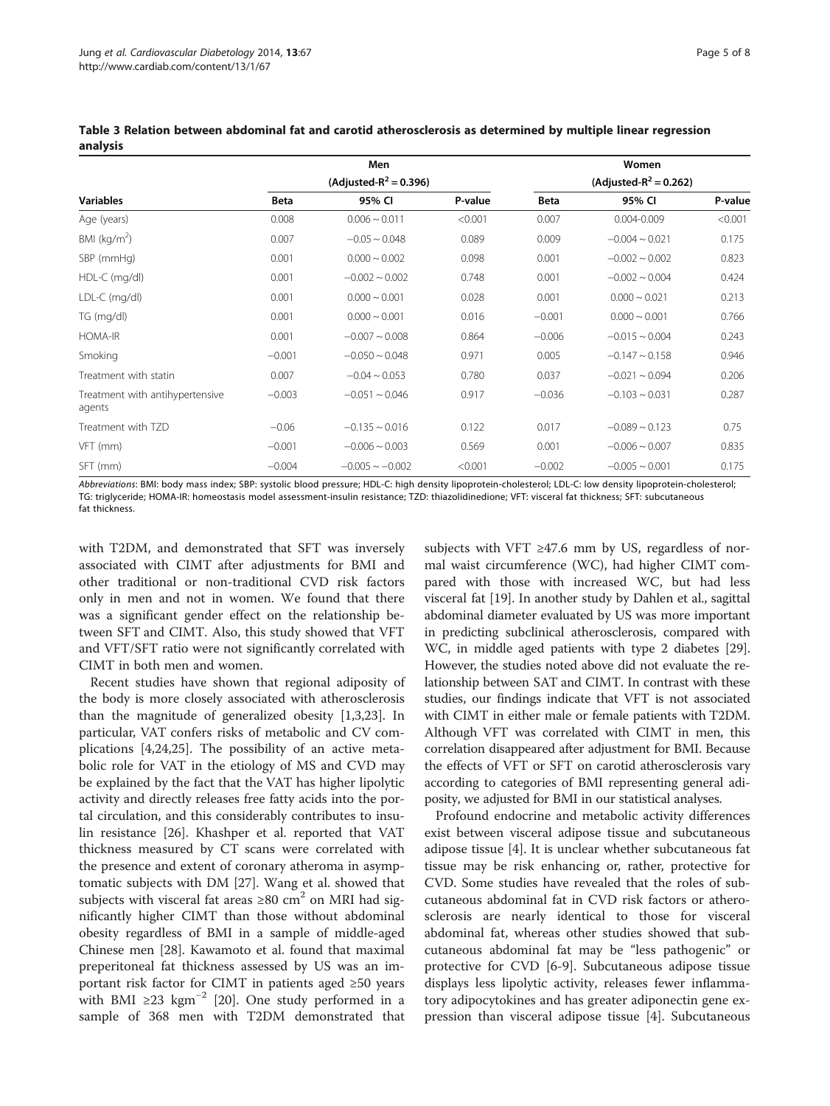|                                           | Men<br>(Adjusted- $R^2 = 0.396$ ) |                      |         | Women<br>(Adjusted-R <sup>2</sup> = 0.262) |                     |         |  |
|-------------------------------------------|-----------------------------------|----------------------|---------|--------------------------------------------|---------------------|---------|--|
| <b>Variables</b>                          |                                   |                      |         |                                            |                     |         |  |
|                                           | <b>Beta</b>                       | 95% CI               | P-value | Beta                                       | 95% CI              | P-value |  |
| Age (years)                               | 0.008                             | $0.006 \sim 0.011$   | < 0.001 | 0.007                                      | $0.004 - 0.009$     | < 0.001 |  |
| BMI ( $kg/m2$ )                           | 0.007                             | $-0.05 \sim 0.048$   | 0.089   | 0.009                                      | $-0.004 \sim 0.021$ | 0.175   |  |
| SBP (mmHg)                                | 0.001                             | $0.000 \sim 0.002$   | 0.098   | 0.001                                      | $-0.002 \sim 0.002$ | 0.823   |  |
| $HDL-C$ (mg/dl)                           | 0.001                             | $-0.002 - 0.002$     | 0.748   | 0.001                                      | $-0.002 \sim 0.004$ | 0.424   |  |
| LDL-C (mg/dl)                             | 0.001                             | $0.000 - 0.001$      | 0.028   | 0.001                                      | $0.000 \sim 0.021$  | 0.213   |  |
| TG (mg/dl)                                | 0.001                             | $0.000 - 0.001$      | 0.016   | $-0.001$                                   | $0.000 - 0.001$     | 0.766   |  |
| <b>HOMA-IR</b>                            | 0.001                             | $-0.007 - 0.008$     | 0.864   | $-0.006$                                   | $-0.015 \sim 0.004$ | 0.243   |  |
| Smoking                                   | $-0.001$                          | $-0.050 \sim 0.048$  | 0.971   | 0.005                                      | $-0.147 \sim 0.158$ | 0.946   |  |
| Treatment with statin                     | 0.007                             | $-0.04 \sim 0.053$   | 0.780   | 0.037                                      | $-0.021 \sim 0.094$ | 0.206   |  |
| Treatment with antihypertensive<br>agents | $-0.003$                          | $-0.051 - 0.046$     | 0.917   | $-0.036$                                   | $-0.103 \sim 0.031$ | 0.287   |  |
| Treatment with TZD                        | $-0.06$                           | $-0.135 \sim 0.016$  | 0.122   | 0.017                                      | $-0.089 \sim 0.123$ | 0.75    |  |
| VFT (mm)                                  | $-0.001$                          | $-0.006 - 0.003$     | 0.569   | 0.001                                      | $-0.006 - 0.007$    | 0.835   |  |
| SFT (mm)                                  | $-0.004$                          | $-0.005 \sim -0.002$ | < 0.001 | $-0.002$                                   | $-0.005 \sim 0.001$ | 0.175   |  |

<span id="page-4-0"></span>Table 3 Relation between abdominal fat and carotid atherosclerosis as determined by multiple linear regression analysis

Abbreviations: BMI: body mass index; SBP: systolic blood pressure; HDL-C: high density lipoprotein-cholesterol; LDL-C: low density lipoprotein-cholesterol; TG: triglyceride; HOMA-IR: homeostasis model assessment-insulin resistance; TZD: thiazolidinedione; VFT: visceral fat thickness; SFT: subcutaneous fat thickness.

with T2DM, and demonstrated that SFT was inversely associated with CIMT after adjustments for BMI and other traditional or non-traditional CVD risk factors only in men and not in women. We found that there was a significant gender effect on the relationship between SFT and CIMT. Also, this study showed that VFT and VFT/SFT ratio were not significantly correlated with CIMT in both men and women.

Recent studies have shown that regional adiposity of the body is more closely associated with atherosclerosis than the magnitude of generalized obesity [[1](#page-6-0),[3](#page-6-0),[23](#page-7-0)]. In particular, VAT confers risks of metabolic and CV complications [\[4](#page-6-0)[,24,25\]](#page-7-0). The possibility of an active metabolic role for VAT in the etiology of MS and CVD may be explained by the fact that the VAT has higher lipolytic activity and directly releases free fatty acids into the portal circulation, and this considerably contributes to insulin resistance [\[26](#page-7-0)]. Khashper et al. reported that VAT thickness measured by CT scans were correlated with the presence and extent of coronary atheroma in asymptomatic subjects with DM [[27\]](#page-7-0). Wang et al. showed that subjects with visceral fat areas  $\geq 80$  cm<sup>2</sup> on MRI had significantly higher CIMT than those without abdominal obesity regardless of BMI in a sample of middle-aged Chinese men [[28\]](#page-7-0). Kawamoto et al. found that maximal preperitoneal fat thickness assessed by US was an important risk factor for CIMT in patients aged ≥50 years with BMI ≥23 kgm<sup>-2</sup> [[20](#page-7-0)]. One study performed in a sample of 368 men with T2DM demonstrated that

subjects with VFT  $\geq$ 47.6 mm by US, regardless of normal waist circumference (WC), had higher CIMT compared with those with increased WC, but had less visceral fat [[19](#page-7-0)]. In another study by Dahlen et al., sagittal abdominal diameter evaluated by US was more important in predicting subclinical atherosclerosis, compared with WC, in middle aged patients with type 2 diabetes [[29](#page-7-0)]. However, the studies noted above did not evaluate the relationship between SAT and CIMT. In contrast with these studies, our findings indicate that VFT is not associated with CIMT in either male or female patients with T2DM. Although VFT was correlated with CIMT in men, this correlation disappeared after adjustment for BMI. Because the effects of VFT or SFT on carotid atherosclerosis vary according to categories of BMI representing general adiposity, we adjusted for BMI in our statistical analyses.

Profound endocrine and metabolic activity differences exist between visceral adipose tissue and subcutaneous adipose tissue [[4\]](#page-6-0). It is unclear whether subcutaneous fat tissue may be risk enhancing or, rather, protective for CVD. Some studies have revealed that the roles of subcutaneous abdominal fat in CVD risk factors or atherosclerosis are nearly identical to those for visceral abdominal fat, whereas other studies showed that subcutaneous abdominal fat may be "less pathogenic" or protective for CVD [\[6](#page-6-0)-[9\]](#page-6-0). Subcutaneous adipose tissue displays less lipolytic activity, releases fewer inflammatory adipocytokines and has greater adiponectin gene expression than visceral adipose tissue [[4\]](#page-6-0). Subcutaneous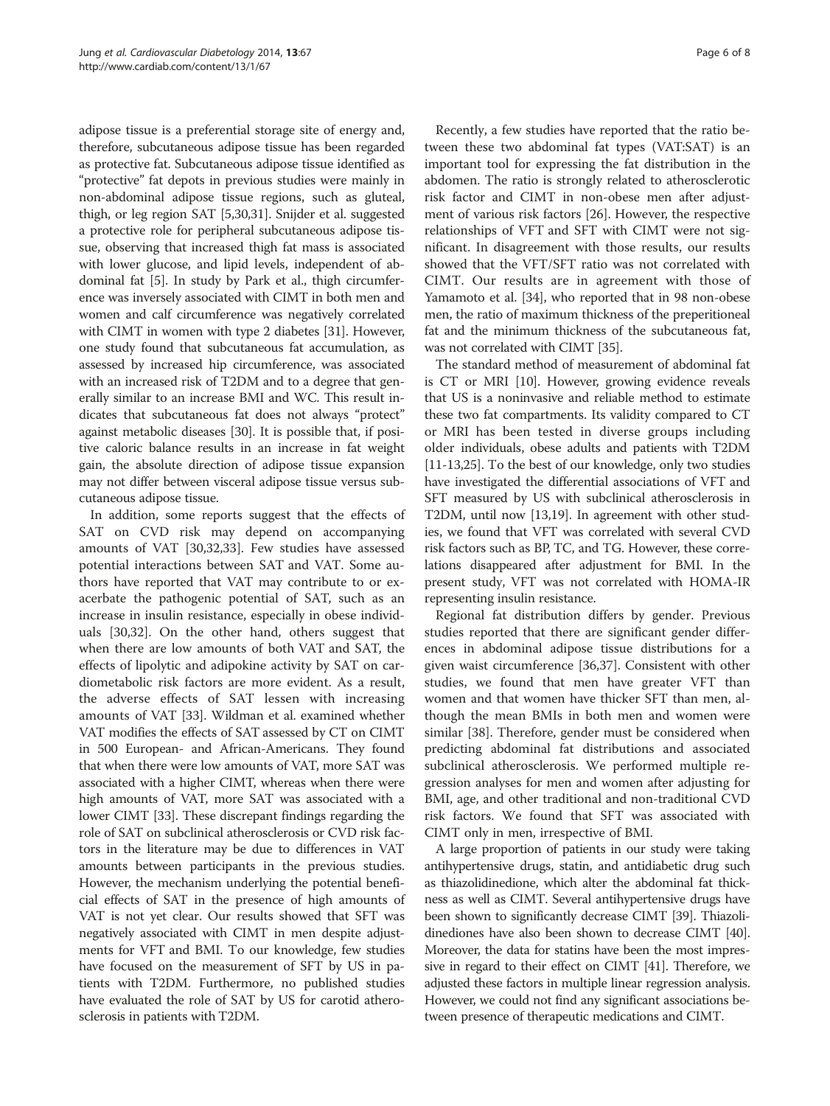adipose tissue is a preferential storage site of energy and, therefore, subcutaneous adipose tissue has been regarded as protective fat. Subcutaneous adipose tissue identified as "protective" fat depots in previous studies were mainly in non-abdominal adipose tissue regions, such as gluteal, thigh, or leg region SAT [\[5](#page-6-0)[,30,31\]](#page-7-0). Snijder et al. suggested a protective role for peripheral subcutaneous adipose tissue, observing that increased thigh fat mass is associated with lower glucose, and lipid levels, independent of abdominal fat [[5](#page-6-0)]. In study by Park et al., thigh circumference was inversely associated with CIMT in both men and women and calf circumference was negatively correlated with CIMT in women with type 2 diabetes [\[31\]](#page-7-0). However, one study found that subcutaneous fat accumulation, as assessed by increased hip circumference, was associated with an increased risk of T2DM and to a degree that generally similar to an increase BMI and WC. This result indicates that subcutaneous fat does not always "protect" against metabolic diseases [\[30](#page-7-0)]. It is possible that, if positive caloric balance results in an increase in fat weight gain, the absolute direction of adipose tissue expansion may not differ between visceral adipose tissue versus subcutaneous adipose tissue.

In addition, some reports suggest that the effects of SAT on CVD risk may depend on accompanying amounts of VAT [\[30,32,33\]](#page-7-0). Few studies have assessed potential interactions between SAT and VAT. Some authors have reported that VAT may contribute to or exacerbate the pathogenic potential of SAT, such as an increase in insulin resistance, especially in obese individuals [[30,32](#page-7-0)]. On the other hand, others suggest that when there are low amounts of both VAT and SAT, the effects of lipolytic and adipokine activity by SAT on cardiometabolic risk factors are more evident. As a result, the adverse effects of SAT lessen with increasing amounts of VAT [\[33](#page-7-0)]. Wildman et al. examined whether VAT modifies the effects of SAT assessed by CT on CIMT in 500 European- and African-Americans. They found that when there were low amounts of VAT, more SAT was associated with a higher CIMT, whereas when there were high amounts of VAT, more SAT was associated with a lower CIMT [\[33\]](#page-7-0). These discrepant findings regarding the role of SAT on subclinical atherosclerosis or CVD risk factors in the literature may be due to differences in VAT amounts between participants in the previous studies. However, the mechanism underlying the potential beneficial effects of SAT in the presence of high amounts of VAT is not yet clear. Our results showed that SFT was negatively associated with CIMT in men despite adjustments for VFT and BMI. To our knowledge, few studies have focused on the measurement of SFT by US in patients with T2DM. Furthermore, no published studies have evaluated the role of SAT by US for carotid atherosclerosis in patients with T2DM.

Recently, a few studies have reported that the ratio between these two abdominal fat types (VAT:SAT) is an important tool for expressing the fat distribution in the abdomen. The ratio is strongly related to atherosclerotic risk factor and CIMT in non-obese men after adjustment of various risk factors [\[26](#page-7-0)]. However, the respective relationships of VFT and SFT with CIMT were not significant. In disagreement with those results, our results showed that the VFT/SFT ratio was not correlated with CIMT. Our results are in agreement with those of Yamamoto et al. [\[34](#page-7-0)], who reported that in 98 non-obese men, the ratio of maximum thickness of the preperitioneal fat and the minimum thickness of the subcutaneous fat, was not correlated with CIMT [\[35\]](#page-7-0).

The standard method of measurement of abdominal fat is CT or MRI [\[10\]](#page-6-0). However, growing evidence reveals that US is a noninvasive and reliable method to estimate these two fat compartments. Its validity compared to CT or MRI has been tested in diverse groups including older individuals, obese adults and patients with T2DM [[11](#page-7-0)-[13,25](#page-7-0)]. To the best of our knowledge, only two studies have investigated the differential associations of VFT and SFT measured by US with subclinical atherosclerosis in T2DM, until now [[13,19](#page-7-0)]. In agreement with other studies, we found that VFT was correlated with several CVD risk factors such as BP, TC, and TG. However, these correlations disappeared after adjustment for BMI. In the present study, VFT was not correlated with HOMA-IR representing insulin resistance.

Regional fat distribution differs by gender. Previous studies reported that there are significant gender differences in abdominal adipose tissue distributions for a given waist circumference [\[36,37](#page-7-0)]. Consistent with other studies, we found that men have greater VFT than women and that women have thicker SFT than men, although the mean BMIs in both men and women were similar [[38](#page-7-0)]. Therefore, gender must be considered when predicting abdominal fat distributions and associated subclinical atherosclerosis. We performed multiple regression analyses for men and women after adjusting for BMI, age, and other traditional and non-traditional CVD risk factors. We found that SFT was associated with CIMT only in men, irrespective of BMI.

A large proportion of patients in our study were taking antihypertensive drugs, statin, and antidiabetic drug such as thiazolidinedione, which alter the abdominal fat thickness as well as CIMT. Several antihypertensive drugs have been shown to significantly decrease CIMT [\[39\]](#page-7-0). Thiazolidinediones have also been shown to decrease CIMT [[40](#page-7-0)]. Moreover, the data for statins have been the most impressive in regard to their effect on CIMT [\[41\]](#page-7-0). Therefore, we adjusted these factors in multiple linear regression analysis. However, we could not find any significant associations between presence of therapeutic medications and CIMT.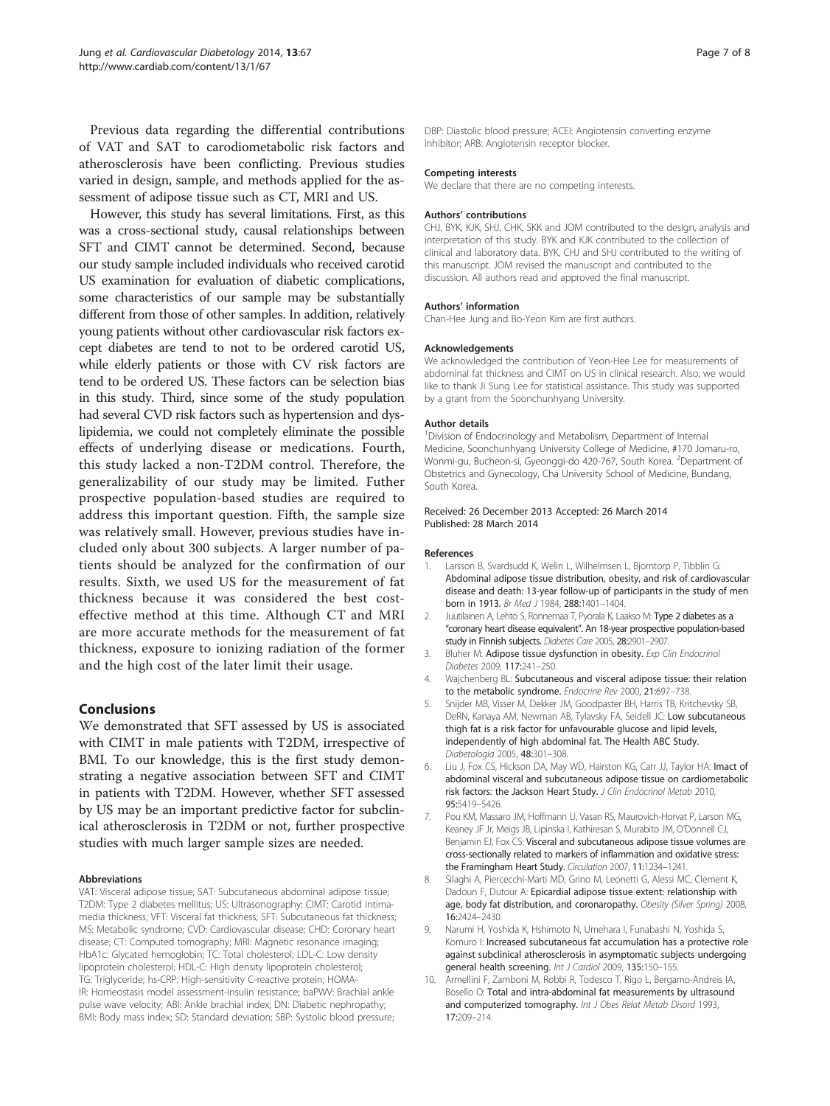<span id="page-6-0"></span>Previous data regarding the differential contributions of VAT and SAT to carodiometabolic risk factors and atherosclerosis have been conflicting. Previous studies varied in design, sample, and methods applied for the assessment of adipose tissue such as CT, MRI and US.

However, this study has several limitations. First, as this was a cross-sectional study, causal relationships between SFT and CIMT cannot be determined. Second, because our study sample included individuals who received carotid US examination for evaluation of diabetic complications, some characteristics of our sample may be substantially different from those of other samples. In addition, relatively young patients without other cardiovascular risk factors except diabetes are tend to not to be ordered carotid US, while elderly patients or those with CV risk factors are tend to be ordered US. These factors can be selection bias in this study. Third, since some of the study population had several CVD risk factors such as hypertension and dyslipidemia, we could not completely eliminate the possible effects of underlying disease or medications. Fourth, this study lacked a non-T2DM control. Therefore, the generalizability of our study may be limited. Futher prospective population-based studies are required to address this important question. Fifth, the sample size was relatively small. However, previous studies have included only about 300 subjects. A larger number of patients should be analyzed for the confirmation of our results. Sixth, we used US for the measurement of fat thickness because it was considered the best costeffective method at this time. Although CT and MRI are more accurate methods for the measurement of fat thickness, exposure to ionizing radiation of the former and the high cost of the later limit their usage.

#### Conclusions

We demonstrated that SFT assessed by US is associated with CIMT in male patients with T2DM, irrespective of BMI. To our knowledge, this is the first study demonstrating a negative association between SFT and CIMT in patients with T2DM. However, whether SFT assessed by US may be an important predictive factor for subclinical atherosclerosis in T2DM or not, further prospective studies with much larger sample sizes are needed.

#### Abbreviations

VAT: Visceral adipose tissue; SAT: Subcutaneous abdominal adipose tissue; T2DM: Type 2 diabetes mellitus; US: Ultrasonography; CIMT: Carotid intimamedia thickness; VFT: Visceral fat thickness; SFT: Subcutaneous fat thickness; MS: Metabolic syndrome; CVD: Cardiovascular disease; CHD: Coronary heart disease; CT: Computed tomography; MRI: Magnetic resonance imaging; HbA1c: Glycated hemoglobin; TC: Total cholesterol; LDL-C: Low density lipoprotein cholesterol; HDL-C: High density lipoprotein cholesterol; TG: Triglyceride; hs-CRP: High-sensitivity C-reactive protein; HOMA-IR: Homeostasis model assessment-insulin resistance; baPWV: Brachial ankle pulse wave velocity; ABI: Ankle brachial index; DN: Diabetic nephropathy; BMI: Body mass index; SD: Standard deviation; SBP: Systolic blood pressure;

DBP: Diastolic blood pressure; ACEI: Angiotensin converting enzyme inhibitor; ARB: Angiotensin receptor blocker.

#### Competing interests

We declare that there are no competing interests.

#### Authors' contributions

CHJ, BYK, KJK, SHJ, CHK, SKK and JOM contributed to the design, analysis and interpretation of this study. BYK and KJK contributed to the collection of clinical and laboratory data. BYK, CHJ and SHJ contributed to the writing of this manuscript. JOM revised the manuscript and contributed to the discussion. All authors read and approved the final manuscript.

#### Authors' information

Chan-Hee Jung and Bo-Yeon Kim are first authors.

#### Acknowledgements

We acknowledged the contribution of Yeon-Hee Lee for measurements of abdominal fat thickness and CIMT on US in clinical research. Also, we would like to thank Ji Sung Lee for statistical assistance. This study was supported by a grant from the Soonchunhyang University.

#### Author details

<sup>1</sup> Division of Endocrinology and Metabolism, Department of Internal Medicine, Soonchunhyang University College of Medicine, #170 Jomaru-ro, Wonmi-gu, Bucheon-si, Gyeonggi-do 420-767, South Korea. <sup>2</sup>Department of Obstetrics and Gynecology, Cha University School of Medicine, Bundang, South Korea.

#### Received: 26 December 2013 Accepted: 26 March 2014 Published: 28 March 2014

#### References

- 1. Larsson B, Svardsudd K, Welin L, Wilhelmsen L, Bjorntorp P, Tibblin G: Abdominal adipose tissue distribution, obesity, and risk of cardiovascular disease and death: 13-year follow-up of participants in the study of men born in 1913. Br Med J 1984, 288:1401-1404.
- 2. Juutilainen A, Lehto S, Ronnemaa T, Pyorala K, Laakso M: Type 2 diabetes as a "coronary heart disease equivalent". An 18-year prospective population-based study in Finnish subjects. Diabetes Care 2005, 28:2901–2907.
- 3. Bluher M: Adipose tissue dysfunction in obesity. Exp Clin Endocrinol Diabetes 2009, 117:241–250.
- 4. Wajchenberg BL: Subcutaneous and visceral adipose tissue: their relation to the metabolic syndrome. Endocrine Rev 2000, 21:697–738.
- 5. Snijder MB, Visser M, Dekker JM, Goodpaster BH, Harris TB, Kritchevsky SB, DeRN, Kanaya AM, Newman AB, Tylavsky FA, Seidell JC: Low subcutaneous thigh fat is a risk factor for unfavourable glucose and lipid levels, independently of high abdominal fat. The Health ABC Study. Diabetologia 2005, 48:301–308.
- 6. Liu J, Fox CS, Hickson DA, May WD, Hairston KG, Carr JJ, Taylor HA: Imact of abdominal visceral and subcutaneous adipose tissue on cardiometabolic risk factors: the Jackson Heart Study. J Clin Endocrinol Metab 2010, 95:5419–5426.
- 7. Pou KM, Massaro JM, Hoffmann U, Vasan RS, Maurovich-Horvat P, Larson MG, Keaney JF Jr, Meigs JB, Lipinska I, Kathiresan S, Murabito JM, O'Donnell CJ, Benjamin EJ, Fox CS: Visceral and subcutaneous adipose tissue volumes are cross-sectionally related to markers of inflammation and oxidative stress: the Framingham Heart Study. Circulation 2007, 11:1234–1241.
- 8. Silaghi A, Piercecchi-Marti MD, Grino M, Leonetti G, Alessi MC, Clement K, Dadoun F, Dutour A: Epicardial adipose tissue extent: relationship with age, body fat distribution, and coronaropathy. Obesity (Silver Spring) 2008, 16:2424–2430.
- 9. Narumi H, Yoshida K, Hshimoto N, Umehara I, Funabashi N, Yoshida S, Komuro I: Increased subcutaneous fat accumulation has a protective role against subclinical atherosclerosis in asymptomatic subjects undergoing general health screening. Int J Cardiol 2009, 135:150–155.
- Armellini F, Zamboni M, Robbi R, Todesco T, Rigo L, Bergamo-Andreis IA, Bosello O: Total and intra-abdominal fat measurements by ultrasound and computerized tomography. Int J Obes Relat Metab Disord 1993, 17:209–214.